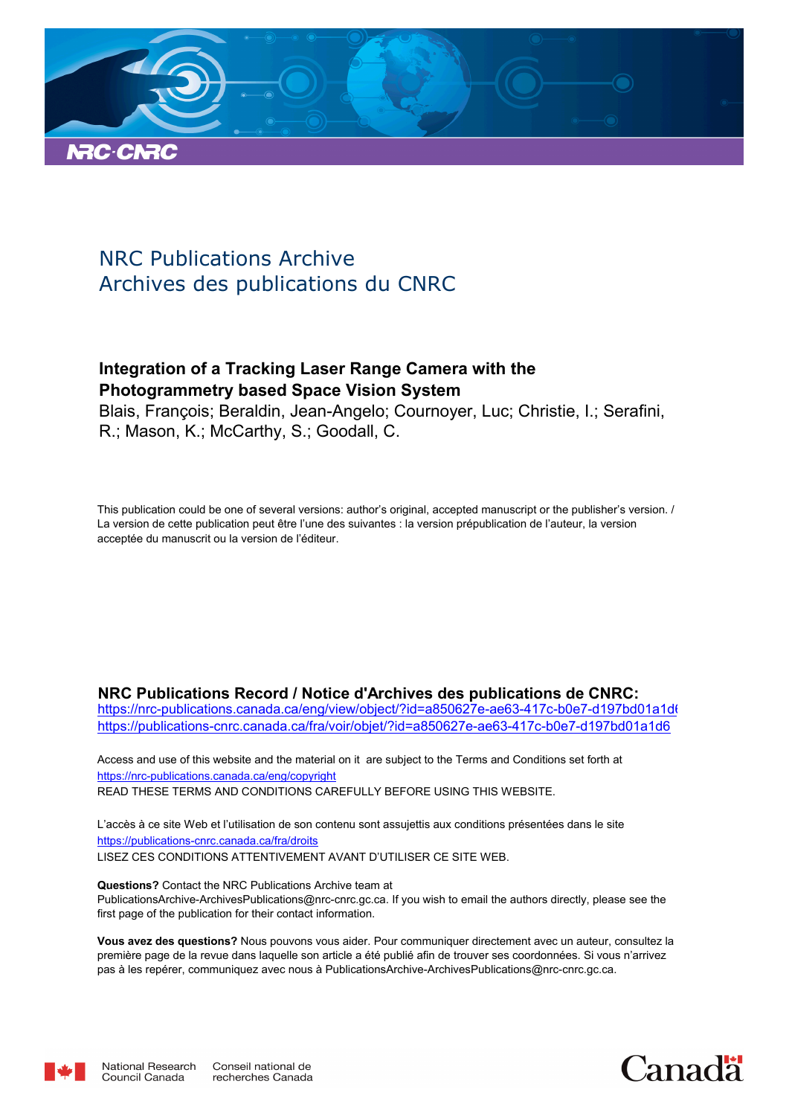

# NRC Publications Archive Archives des publications du CNRC

# **Integration of a Tracking Laser Range Camera with the Photogrammetry based Space Vision System**

Blais, François; Beraldin, Jean-Angelo; Cournoyer, Luc; Christie, I.; Serafini, R.; Mason, K.; McCarthy, S.; Goodall, C.

This publication could be one of several versions: author's original, accepted manuscript or the publisher's version. / La version de cette publication peut être l'une des suivantes : la version prépublication de l'auteur, la version acceptée du manuscrit ou la version de l'éditeur.

# **NRC Publications Record / Notice d'Archives des publications de CNRC:**

https://nrc-publications.canada.ca/eng/view/object/?id=a850627e-ae63-417c-b0e7-d197bd01a1d( https://publications-cnrc.canada.ca/fra/voir/objet/?id=a850627e-ae63-417c-b0e7-d197bd01a1d6

READ THESE TERMS AND CONDITIONS CAREFULLY BEFORE USING THIS WEBSITE. https://nrc-publications.canada.ca/eng/copyright Access and use of this website and the material on it are subject to the Terms and Conditions set forth at

https://publications-cnrc.canada.ca/fra/droits L'accès à ce site Web et l'utilisation de son contenu sont assujettis aux conditions présentées dans le site LISEZ CES CONDITIONS ATTENTIVEMENT AVANT D'UTILISER CE SITE WEB.

**Questions?** Contact the NRC Publications Archive team at PublicationsArchive-ArchivesPublications@nrc-cnrc.gc.ca. If you wish to email the authors directly, please see the first page of the publication for their contact information.

**Vous avez des questions?** Nous pouvons vous aider. Pour communiquer directement avec un auteur, consultez la première page de la revue dans laquelle son article a été publié afin de trouver ses coordonnées. Si vous n'arrivez pas à les repérer, communiquez avec nous à PublicationsArchive-ArchivesPublications@nrc-cnrc.gc.ca.



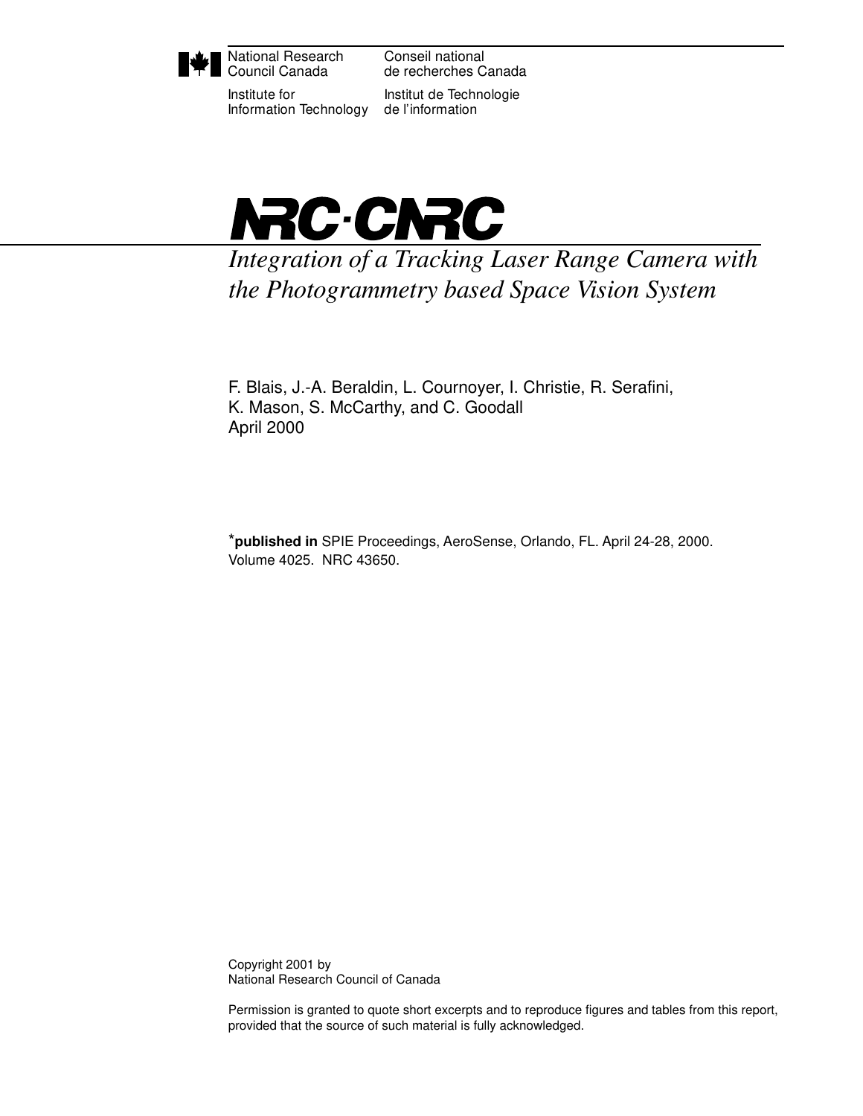

National Research Council Canada

Institute for Information Technology

Conseil national de recherches Canada

Institut de Technologie de l'information



*Integration of a Tracking Laser Range Camera with the Photogrammetry based Space Vision System*

F. Blais, J.-A. Beraldin, L. Cournoyer, I. Christie, R. Serafini, K. Mason, S. McCarthy, and C. Goodall April 2000

\***published in** SPIE Proceedings, AeroSense, Orlando, FL. April 24-28, 2000. Volume 4025. NRC 43650.

Copyright 2001 by National Research Council of Canada

Permission is granted to quote short excerpts and to reproduce figures and tables from this report, provided that the source of such material is fully acknowledged.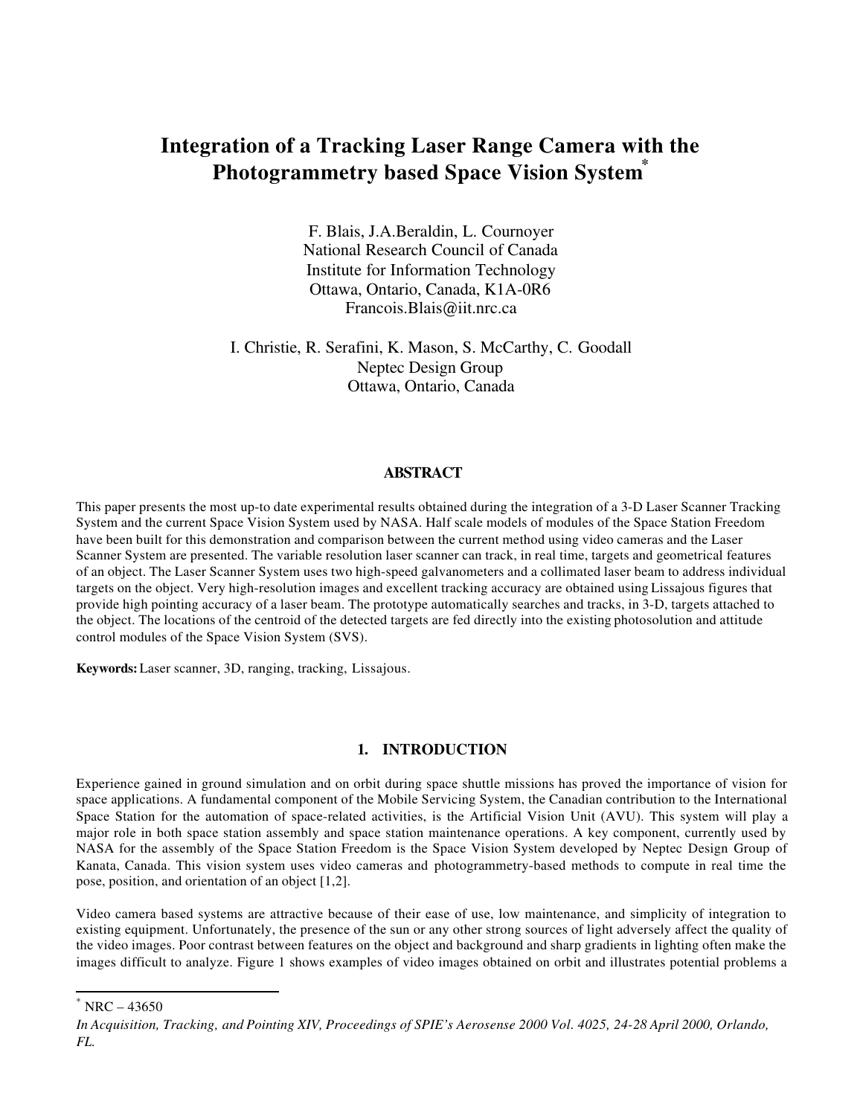# **Integration of a Tracking Laser Range Camera with the Photogrammetry based Space Vision System\***

F. Blais, J.A.Beraldin, L. Cournoyer National Research Council of Canada Institute for Information Technology Ottawa, Ontario, Canada, K1A-0R6 Francois.Blais@iit.nrc.ca

I. Christie, R. Serafini, K. Mason, S. McCarthy, C. Goodall Neptec Design Group Ottawa, Ontario, Canada

#### **ABSTRACT**

This paper presents the most up-to date experimental results obtained during the integration of a 3-D Laser Scanner Tracking System and the current Space Vision System used by NASA. Half scale models of modules of the Space Station Freedom have been built for this demonstration and comparison between the current method using video cameras and the Laser Scanner System are presented. The variable resolution laser scanner can track, in real time, targets and geometrical features of an object. The Laser Scanner System uses two high-speed galvanometers and a collimated laser beam to address individual targets on the object. Very high-resolution images and excellent tracking accuracy are obtained using Lissajous figures that provide high pointing accuracy of a laser beam. The prototype automatically searches and tracks, in 3-D, targets attached to the object. The locations of the centroid of the detected targets are fed directly into the existing photosolution and attitude control modules of the Space Vision System (SVS).

**Keywords:**Laser scanner, 3D, ranging, tracking, Lissajous.

#### **1. INTRODUCTION**

Experience gained in ground simulation and on orbit during space shuttle missions has proved the importance of vision for space applications. A fundamental component of the Mobile Servicing System, the Canadian contribution to the International Space Station for the automation of space-related activities, is the Artificial Vision Unit (AVU). This system will play a major role in both space station assembly and space station maintenance operations. A key component, currently used by NASA for the assembly of the Space Station Freedom is the Space Vision System developed by Neptec Design Group of Kanata, Canada. This vision system uses video cameras and photogrammetry-based methods to compute in real time the pose, position, and orientation of an object [1,2].

Video camera based systems are attractive because of their ease of use, low maintenance, and simplicity of integration to existing equipment. Unfortunately, the presence of the sun or any other strong sources of light adversely affect the quality of the video images. Poor contrast between features on the object and background and sharp gradients in lighting often make the images difficult to analyze. Figure 1 shows examples of video images obtained on orbit and illustrates potential problems a

 $\overline{a}$ 

 $*$  NRC – 43650

*In Acquisition, Tracking, and Pointing XIV, Proceedings of SPIE's Aerosense 2000 Vol. 4025, 24-28 April 2000, Orlando, FL.*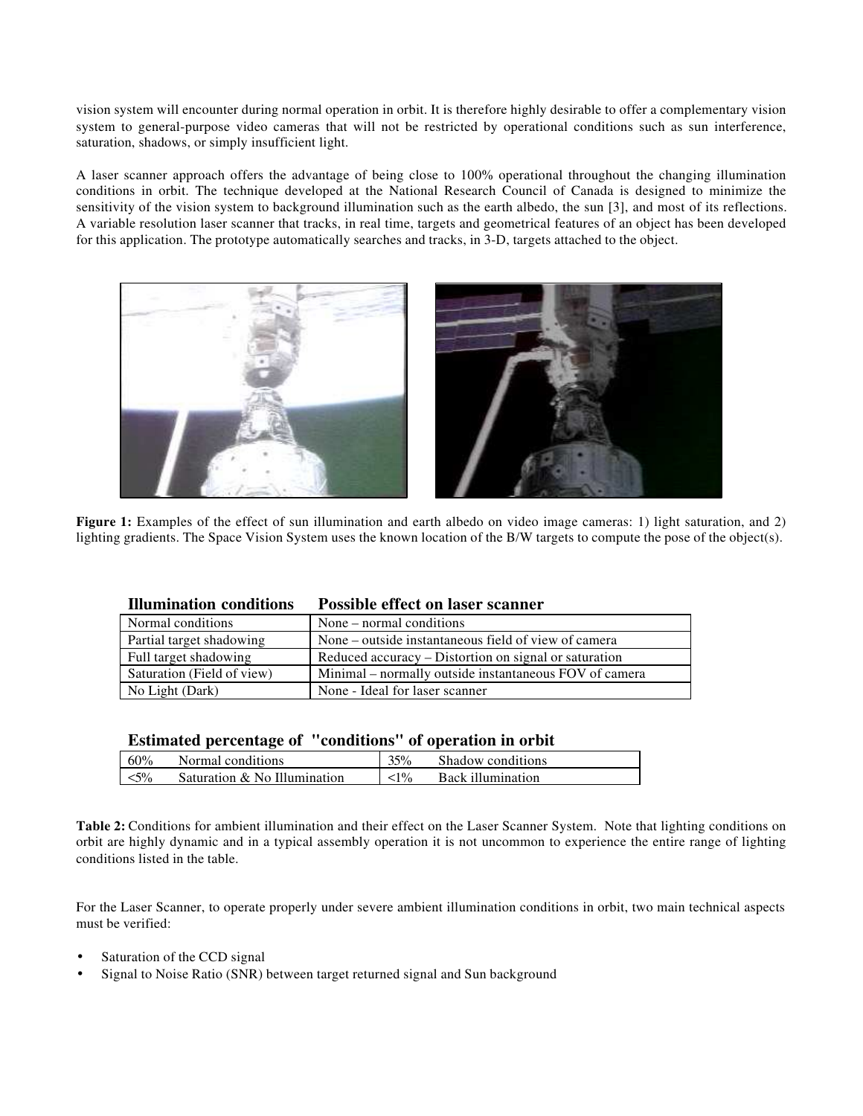vision system will encounter during normal operation in orbit. It is therefore highly desirable to offer a complementary vision system to general-purpose video cameras that will not be restricted by operational conditions such as sun interference, saturation, shadows, or simply insufficient light.

A laser scanner approach offers the advantage of being close to 100% operational throughout the changing illumination conditions in orbit. The technique developed at the National Research Council of Canada is designed to minimize the sensitivity of the vision system to background illumination such as the earth albedo, the sun [3], and most of its reflections. A variable resolution laser scanner that tracks, in real time, targets and geometrical features of an object has been developed for this application. The prototype automatically searches and tracks, in 3-D, targets attached to the object.



**Figure 1:** Examples of the effect of sun illumination and earth albedo on video image cameras: 1) light saturation, and 2) lighting gradients. The Space Vision System uses the known location of the B/W targets to compute the pose of the object(s).

| <b>Illumination conditions</b> | Possible effect on laser scanner                       |
|--------------------------------|--------------------------------------------------------|
| Normal conditions              | None – normal conditions                               |
| Partial target shadowing       | None – outside instantaneous field of view of camera   |
| Full target shadowing          | Reduced accuracy – Distortion on signal or saturation  |
| Saturation (Field of view)     | Minimal – normally outside instantaneous FOV of camera |
| No Light (Dark)                | None - Ideal for laser scanner                         |

|  | Estimated percentage of "conditions" of operation in orbit |  |  |  |  |  |
|--|------------------------------------------------------------|--|--|--|--|--|
|--|------------------------------------------------------------|--|--|--|--|--|

| 60%   | Normal conditions            | 35%    | Shadow conditions |
|-------|------------------------------|--------|-------------------|
| $5\%$ | Saturation & No Illumination | $<1\%$ | Back illumination |

**Table 2:** Conditions for ambient illumination and their effect on the Laser Scanner System. Note that lighting conditions on orbit are highly dynamic and in a typical assembly operation it is not uncommon to experience the entire range of lighting conditions listed in the table.

For the Laser Scanner, to operate properly under severe ambient illumination conditions in orbit, two main technical aspects must be verified:

- Saturation of the CCD signal
- Signal to Noise Ratio (SNR) between target returned signal and Sun background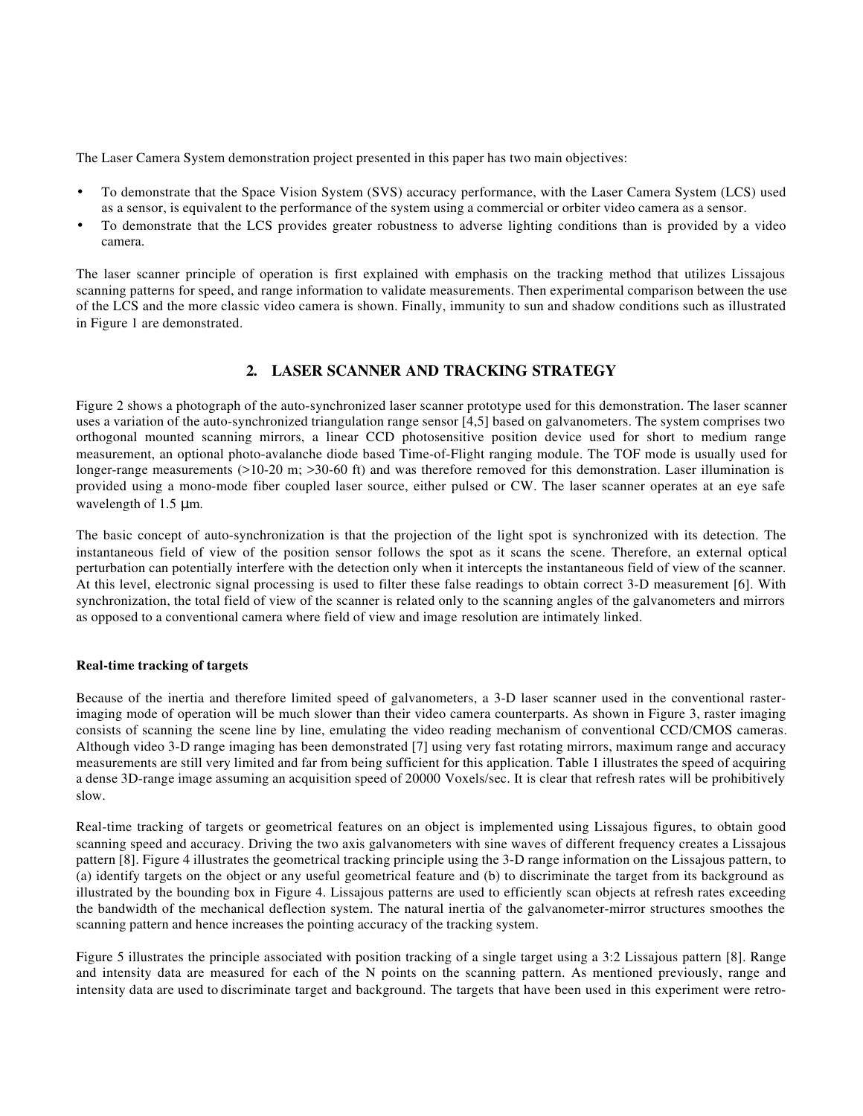The Laser Camera System demonstration project presented in this paper has two main objectives:

- To demonstrate that the Space Vision System (SVS) accuracy performance, with the Laser Camera System (LCS) used as a sensor, is equivalent to the performance of the system using a commercial or orbiter video camera as a sensor.
- To demonstrate that the LCS provides greater robustness to adverse lighting conditions than is provided by a video camera.

The laser scanner principle of operation is first explained with emphasis on the tracking method that utilizes Lissajous scanning patterns for speed, and range information to validate measurements. Then experimental comparison between the use of the LCS and the more classic video camera is shown. Finally, immunity to sun and shadow conditions such as illustrated in Figure 1 are demonstrated.

# **2. LASER SCANNER AND TRACKING STRATEGY**

Figure 2 shows a photograph of the auto-synchronized laser scanner prototype used for this demonstration. The laser scanner uses a variation of the auto-synchronized triangulation range sensor [4,5] based on galvanometers. The system comprises two orthogonal mounted scanning mirrors, a linear CCD photosensitive position device used for short to medium range measurement, an optional photo-avalanche diode based Time-of-Flight ranging module. The TOF mode is usually used for longer-range measurements (>10-20 m; >30-60 ft) and was therefore removed for this demonstration. Laser illumination is provided using a mono-mode fiber coupled laser source, either pulsed or CW. The laser scanner operates at an eye safe wavelength of 1.5  $\mu$ m.

The basic concept of auto-synchronization is that the projection of the light spot is synchronized with its detection. The instantaneous field of view of the position sensor follows the spot as it scans the scene. Therefore, an external optical perturbation can potentially interfere with the detection only when it intercepts the instantaneous field of view of the scanner. At this level, electronic signal processing is used to filter these false readings to obtain correct 3-D measurement [6]. With synchronization, the total field of view of the scanner is related only to the scanning angles of the galvanometers and mirrors as opposed to a conventional camera where field of view and image resolution are intimately linked.

#### **Real-time tracking of targets**

Because of the inertia and therefore limited speed of galvanometers, a 3-D laser scanner used in the conventional rasterimaging mode of operation will be much slower than their video camera counterparts. As shown in Figure 3, raster imaging consists of scanning the scene line by line, emulating the video reading mechanism of conventional CCD/CMOS cameras. Although video 3-D range imaging has been demonstrated [7] using very fast rotating mirrors, maximum range and accuracy measurements are still very limited and far from being sufficient for this application. Table 1 illustrates the speed of acquiring a dense 3D-range image assuming an acquisition speed of 20000 Voxels/sec. It is clear that refresh rates will be prohibitively slow.

Real-time tracking of targets or geometrical features on an object is implemented using Lissajous figures, to obtain good scanning speed and accuracy. Driving the two axis galvanometers with sine waves of different frequency creates a Lissajous pattern [8]. Figure 4 illustrates the geometrical tracking principle using the 3-D range information on the Lissajous pattern, to (a) identify targets on the object or any useful geometrical feature and (b) to discriminate the target from its background as illustrated by the bounding box in Figure 4. Lissajous patterns are used to efficiently scan objects at refresh rates exceeding the bandwidth of the mechanical deflection system. The natural inertia of the galvanometer-mirror structures smoothes the scanning pattern and hence increases the pointing accuracy of the tracking system.

Figure 5 illustrates the principle associated with position tracking of a single target using a 3:2 Lissajous pattern [8]. Range and intensity data are measured for each of the N points on the scanning pattern. As mentioned previously, range and intensity data are used to discriminate target and background. The targets that have been used in this experiment were retro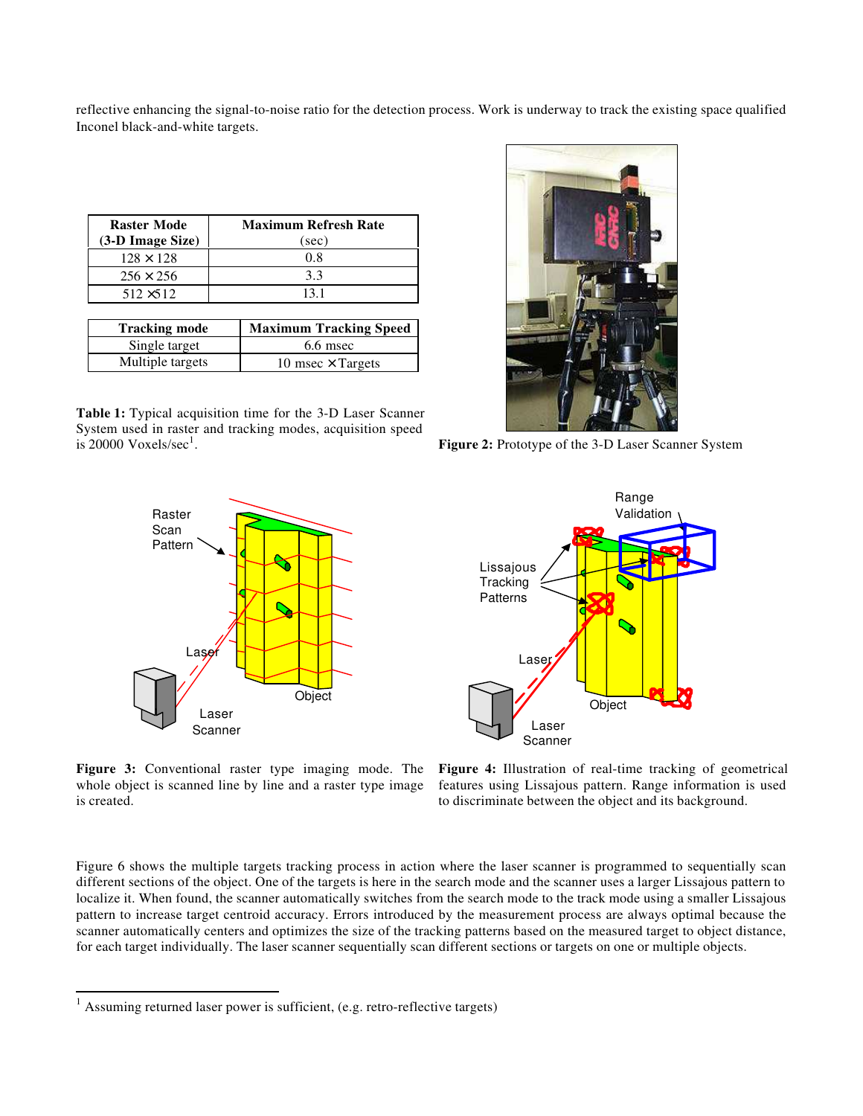reflective enhancing the signal-to-noise ratio for the detection process. Work is underway to track the existing space qualified Inconel black-and-white targets.

| <b>Raster Mode</b><br>$(3-D \; Image \; Size)$ | <b>Maximum Refresh Rate</b><br>(sec) |
|------------------------------------------------|--------------------------------------|
| $128 \times 128$                               | 08                                   |
| $256 \times 256$                               | 33                                   |
| $512 \times 512$                               | 131                                  |

| <b>Tracking mode</b> | <b>Maximum Tracking Speed</b> |
|----------------------|-------------------------------|
| Single target        | $6.6$ msec                    |
| Multiple targets     | 10 msec $\times$ Targets      |

**Table 1:** Typical acquisition time for the 3-D Laser Scanner System used in raster and tracking modes, acquisition speed is 20000 Voxels/sec $<sup>1</sup>$ .</sup>



**Figure 3:** Conventional raster type imaging mode. The whole object is scanned line by line and a raster type image is created.

. **Figure 2:** Prototype of the 3-D Laser Scanner System



**Figure 4:** Illustration of real-time tracking of geometrical features using Lissajous pattern. Range information is used to discriminate between the object and its background.

Figure 6 shows the multiple targets tracking process in action where the laser scanner is programmed to sequentially scan different sections of the object. One of the targets is here in the search mode and the scanner uses a larger Lissajous pattern to localize it. When found, the scanner automatically switches from the search mode to the track mode using a smaller Lissajous pattern to increase target centroid accuracy. Errors introduced by the measurement process are always optimal because the scanner automatically centers and optimizes the size of the tracking patterns based on the measured target to object distance, for each target individually. The laser scanner sequentially scan different sections or targets on one or multiple objects.

 $\overline{a}$ 

<sup>1</sup> Assuming returned laser power is sufficient, (e.g. retro-reflective targets)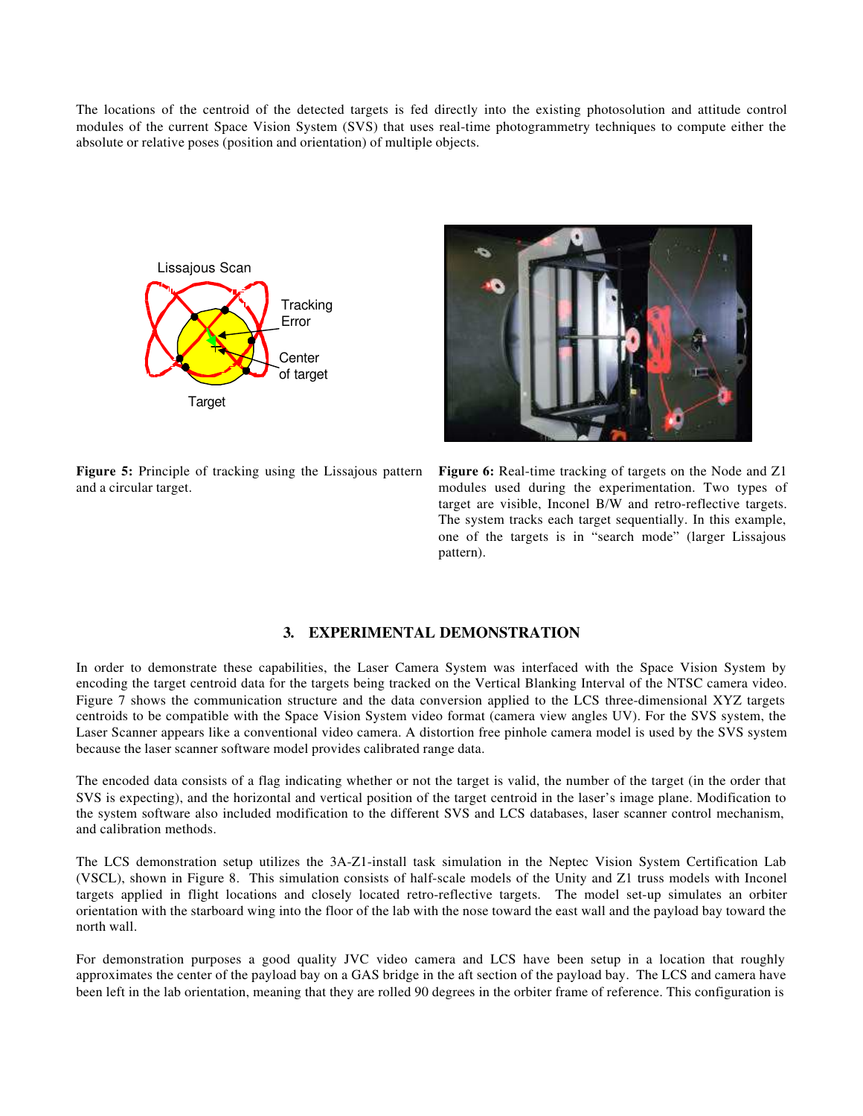The locations of the centroid of the detected targets is fed directly into the existing photosolution and attitude control modules of the current Space Vision System (SVS) that uses real-time photogrammetry techniques to compute either the absolute or relative poses (position and orientation) of multiple objects.



**Figure 5:** Principle of tracking using the Lissajous pattern and a circular target.



**Figure 6:** Real-time tracking of targets on the Node and Z1 modules used during the experimentation. Two types of target are visible, Inconel B/W and retro-reflective targets. The system tracks each target sequentially. In this example, one of the targets is in "search mode" (larger Lissajous pattern).

#### **3. EXPERIMENTAL DEMONSTRATION**

In order to demonstrate these capabilities, the Laser Camera System was interfaced with the Space Vision System by encoding the target centroid data for the targets being tracked on the Vertical Blanking Interval of the NTSC camera video. Figure 7 shows the communication structure and the data conversion applied to the LCS three-dimensional XYZ targets centroids to be compatible with the Space Vision System video format (camera view angles UV). For the SVS system, the Laser Scanner appears like a conventional video camera. A distortion free pinhole camera model is used by the SVS system because the laser scanner software model provides calibrated range data.

The encoded data consists of a flag indicating whether or not the target is valid, the number of the target (in the order that SVS is expecting), and the horizontal and vertical position of the target centroid in the laser's image plane. Modification to the system software also included modification to the different SVS and LCS databases, laser scanner control mechanism, and calibration methods.

The LCS demonstration setup utilizes the 3A-Z1-install task simulation in the Neptec Vision System Certification Lab (VSCL), shown in Figure 8. This simulation consists of half-scale models of the Unity and Z1 truss models with Inconel targets applied in flight locations and closely located retro-reflective targets. The model set-up simulates an orbiter orientation with the starboard wing into the floor of the lab with the nose toward the east wall and the payload bay toward the north wall.

For demonstration purposes a good quality JVC video camera and LCS have been setup in a location that roughly approximates the center of the payload bay on a GAS bridge in the aft section of the payload bay. The LCS and camera have been left in the lab orientation, meaning that they are rolled 90 degrees in the orbiter frame of reference. This configuration is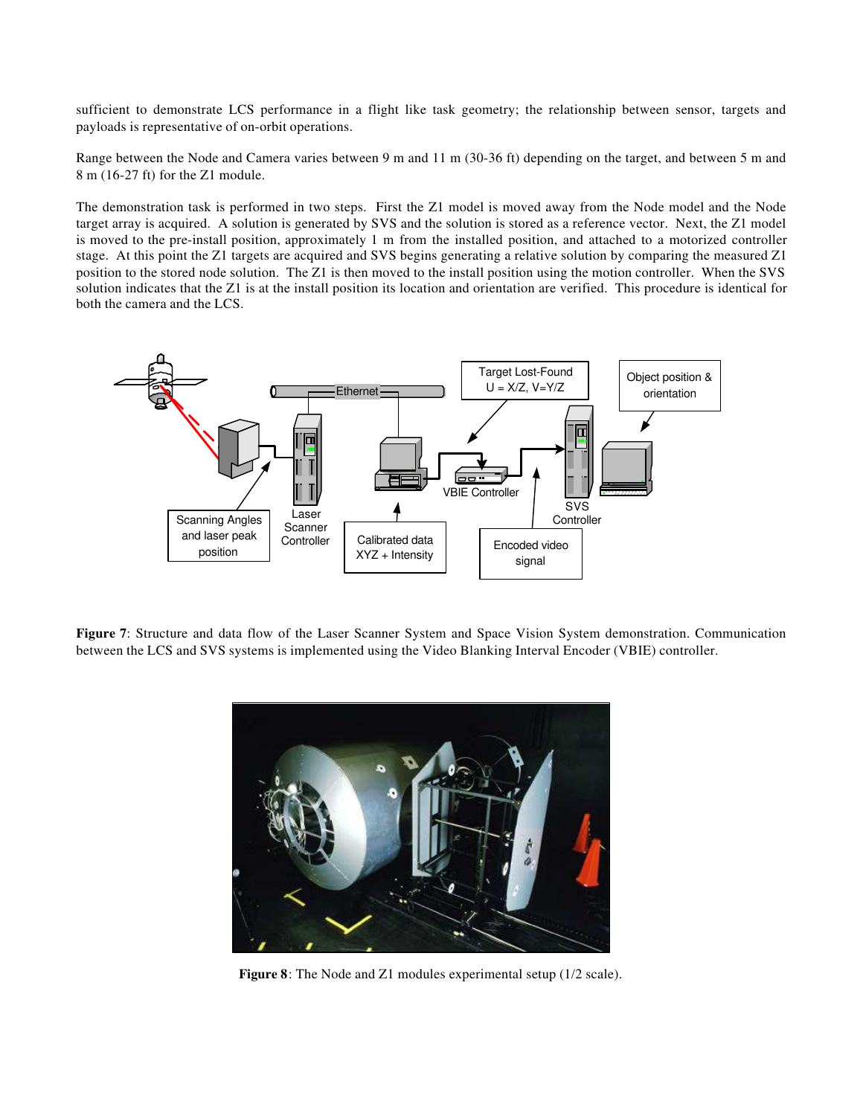sufficient to demonstrate LCS performance in a flight like task geometry; the relationship between sensor, targets and payloads is representative of on-orbit operations.

Range between the Node and Camera varies between 9 m and 11 m (30-36 ft) depending on the target, and between 5 m and 8 m (16-27 ft) for the Z1 module.

The demonstration task is performed in two steps. First the Z1 model is moved away from the Node model and the Node target array is acquired. A solution is generated by SVS and the solution is stored as a reference vector. Next, the Z1 model is moved to the pre-install position, approximately 1 m from the installed position, and attached to a motorized controller stage. At this point the Z1 targets are acquired and SVS begins generating a relative solution by comparing the measured Z1 position to the stored node solution. The Z1 is then moved to the install position using the motion controller. When the SVS solution indicates that the Z1 is at the install position its location and orientation are verified. This procedure is identical for both the camera and the LCS.



**Figure 7**: Structure and data flow of the Laser Scanner System and Space Vision System demonstration. Communication between the LCS and SVS systems is implemented using the Video Blanking Interval Encoder (VBIE) controller.



**Figure 8**: The Node and Z1 modules experimental setup (1/2 scale).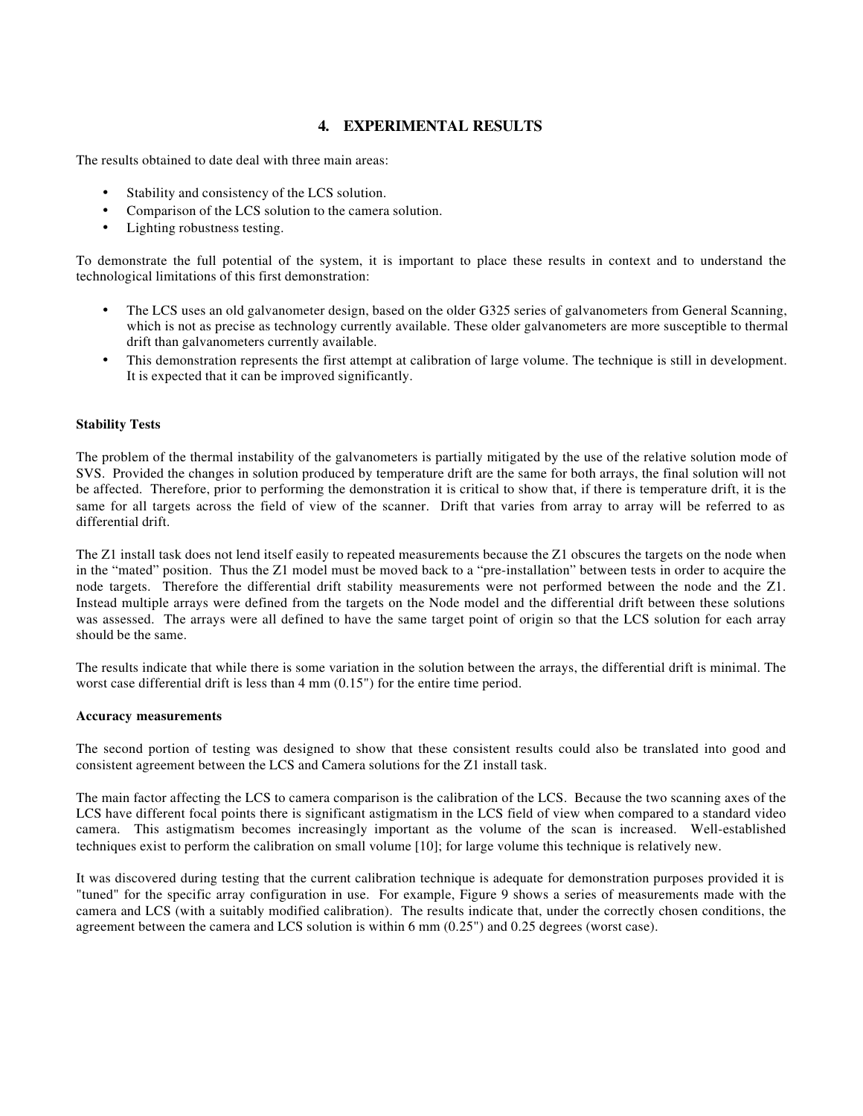### **4. EXPERIMENTAL RESULTS**

The results obtained to date deal with three main areas:

- Stability and consistency of the LCS solution.
- Comparison of the LCS solution to the camera solution.
- Lighting robustness testing.

To demonstrate the full potential of the system, it is important to place these results in context and to understand the technological limitations of this first demonstration:

- The LCS uses an old galvanometer design, based on the older G325 series of galvanometers from General Scanning, which is not as precise as technology currently available. These older galvanometers are more susceptible to thermal drift than galvanometers currently available.
- This demonstration represents the first attempt at calibration of large volume. The technique is still in development. It is expected that it can be improved significantly.

#### **Stability Tests**

The problem of the thermal instability of the galvanometers is partially mitigated by the use of the relative solution mode of SVS. Provided the changes in solution produced by temperature drift are the same for both arrays, the final solution will not be affected. Therefore, prior to performing the demonstration it is critical to show that, if there is temperature drift, it is the same for all targets across the field of view of the scanner. Drift that varies from array to array will be referred to as differential drift.

The Z1 install task does not lend itself easily to repeated measurements because the Z1 obscures the targets on the node when in the "mated" position. Thus the Z1 model must be moved back to a "pre-installation" between tests in order to acquire the node targets. Therefore the differential drift stability measurements were not performed between the node and the Z1. Instead multiple arrays were defined from the targets on the Node model and the differential drift between these solutions was assessed. The arrays were all defined to have the same target point of origin so that the LCS solution for each array should be the same.

The results indicate that while there is some variation in the solution between the arrays, the differential drift is minimal. The worst case differential drift is less than 4 mm (0.15") for the entire time period.

#### **Accuracy measurements**

The second portion of testing was designed to show that these consistent results could also be translated into good and consistent agreement between the LCS and Camera solutions for the Z1 install task.

The main factor affecting the LCS to camera comparison is the calibration of the LCS. Because the two scanning axes of the LCS have different focal points there is significant astigmatism in the LCS field of view when compared to a standard video camera. This astigmatism becomes increasingly important as the volume of the scan is increased. Well-established techniques exist to perform the calibration on small volume [10]; for large volume this technique is relatively new.

It was discovered during testing that the current calibration technique is adequate for demonstration purposes provided it is "tuned" for the specific array configuration in use. For example, Figure 9 shows a series of measurements made with the camera and LCS (with a suitably modified calibration). The results indicate that, under the correctly chosen conditions, the agreement between the camera and LCS solution is within 6 mm (0.25") and 0.25 degrees (worst case).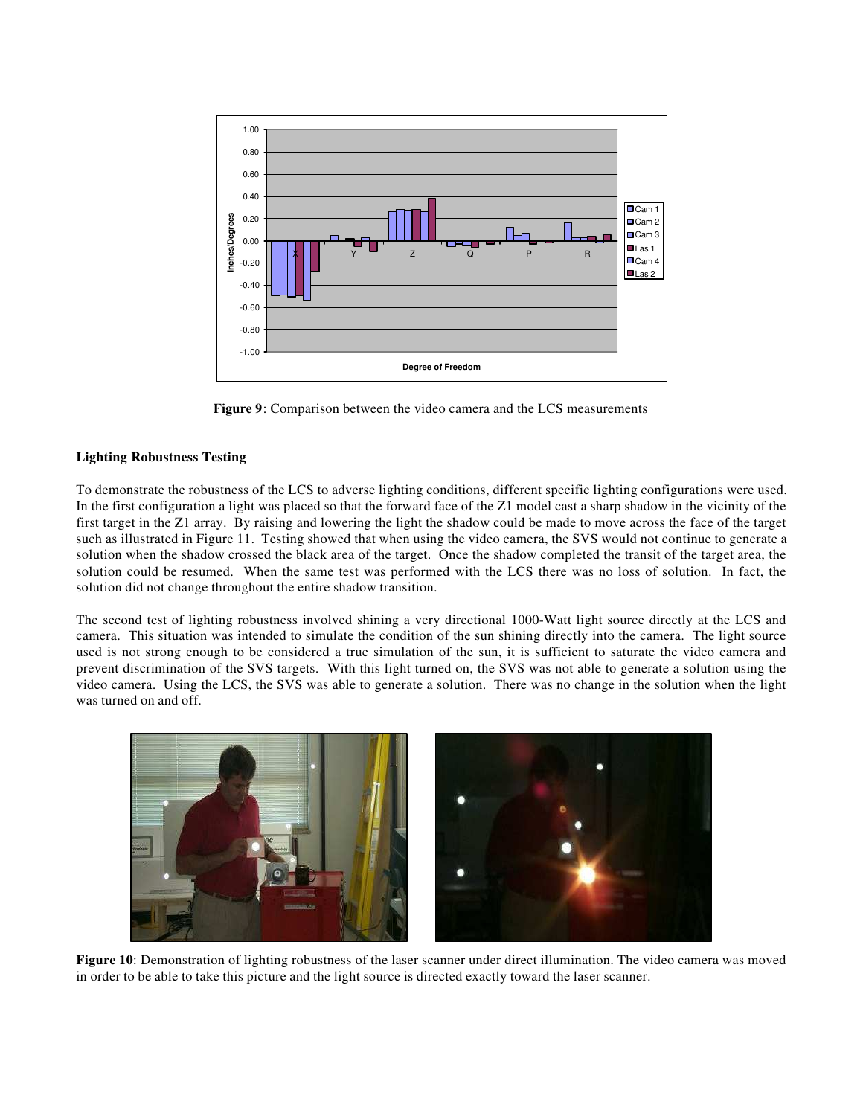

**Figure 9**: Comparison between the video camera and the LCS measurements

#### **Lighting Robustness Testing**

To demonstrate the robustness of the LCS to adverse lighting conditions, different specific lighting configurations were used. In the first configuration a light was placed so that the forward face of the Z1 model cast a sharp shadow in the vicinity of the first target in the Z1 array. By raising and lowering the light the shadow could be made to move across the face of the target such as illustrated in Figure 11. Testing showed that when using the video camera, the SVS would not continue to generate a solution when the shadow crossed the black area of the target. Once the shadow completed the transit of the target area, the solution could be resumed. When the same test was performed with the LCS there was no loss of solution. In fact, the solution did not change throughout the entire shadow transition.

The second test of lighting robustness involved shining a very directional 1000-Watt light source directly at the LCS and camera. This situation was intended to simulate the condition of the sun shining directly into the camera. The light source used is not strong enough to be considered a true simulation of the sun, it is sufficient to saturate the video camera and prevent discrimination of the SVS targets. With this light turned on, the SVS was not able to generate a solution using the video camera. Using the LCS, the SVS was able to generate a solution. There was no change in the solution when the light was turned on and off.



**Figure 10**: Demonstration of lighting robustness of the laser scanner under direct illumination. The video camera was moved in order to be able to take this picture and the light source is directed exactly toward the laser scanner.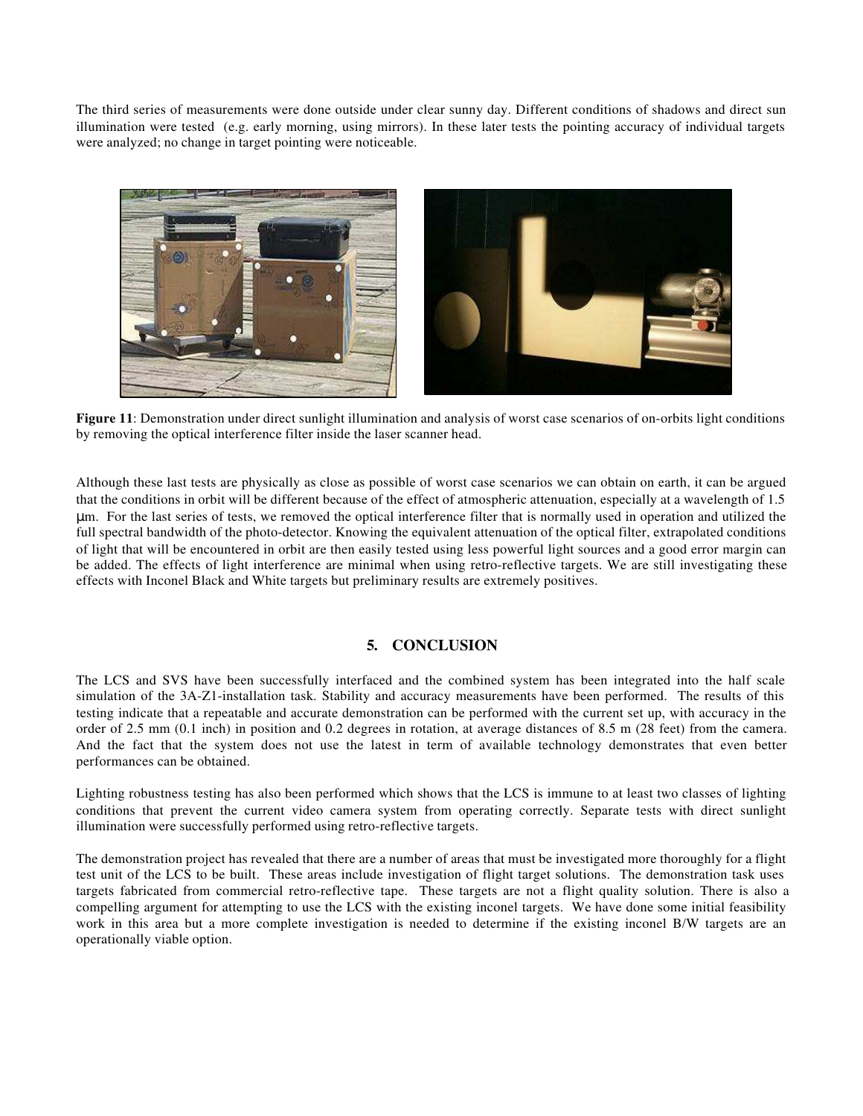The third series of measurements were done outside under clear sunny day. Different conditions of shadows and direct sun illumination were tested (e.g. early morning, using mirrors). In these later tests the pointing accuracy of individual targets were analyzed; no change in target pointing were noticeable.



**Figure 11**: Demonstration under direct sunlight illumination and analysis of worst case scenarios of on-orbits light conditions by removing the optical interference filter inside the laser scanner head.

Although these last tests are physically as close as possible of worst case scenarios we can obtain on earth, it can be argued that the conditions in orbit will be different because of the effect of atmospheric attenuation, especially at a wavelength of 1.5 µm. For the last series of tests, we removed the optical interference filter that is normally used in operation and utilized the full spectral bandwidth of the photo-detector. Knowing the equivalent attenuation of the optical filter, extrapolated conditions of light that will be encountered in orbit are then easily tested using less powerful light sources and a good error margin can be added. The effects of light interference are minimal when using retro-reflective targets. We are still investigating these effects with Inconel Black and White targets but preliminary results are extremely positives.

### **5. CONCLUSION**

The LCS and SVS have been successfully interfaced and the combined system has been integrated into the half scale simulation of the 3A-Z1-installation task. Stability and accuracy measurements have been performed. The results of this testing indicate that a repeatable and accurate demonstration can be performed with the current set up, with accuracy in the order of 2.5 mm (0.1 inch) in position and 0.2 degrees in rotation, at average distances of 8.5 m (28 feet) from the camera. And the fact that the system does not use the latest in term of available technology demonstrates that even better performances can be obtained.

Lighting robustness testing has also been performed which shows that the LCS is immune to at least two classes of lighting conditions that prevent the current video camera system from operating correctly. Separate tests with direct sunlight illumination were successfully performed using retro-reflective targets.

The demonstration project has revealed that there are a number of areas that must be investigated more thoroughly for a flight test unit of the LCS to be built. These areas include investigation of flight target solutions. The demonstration task uses targets fabricated from commercial retro-reflective tape. These targets are not a flight quality solution. There is also a compelling argument for attempting to use the LCS with the existing inconel targets. We have done some initial feasibility work in this area but a more complete investigation is needed to determine if the existing inconel B/W targets are an operationally viable option.